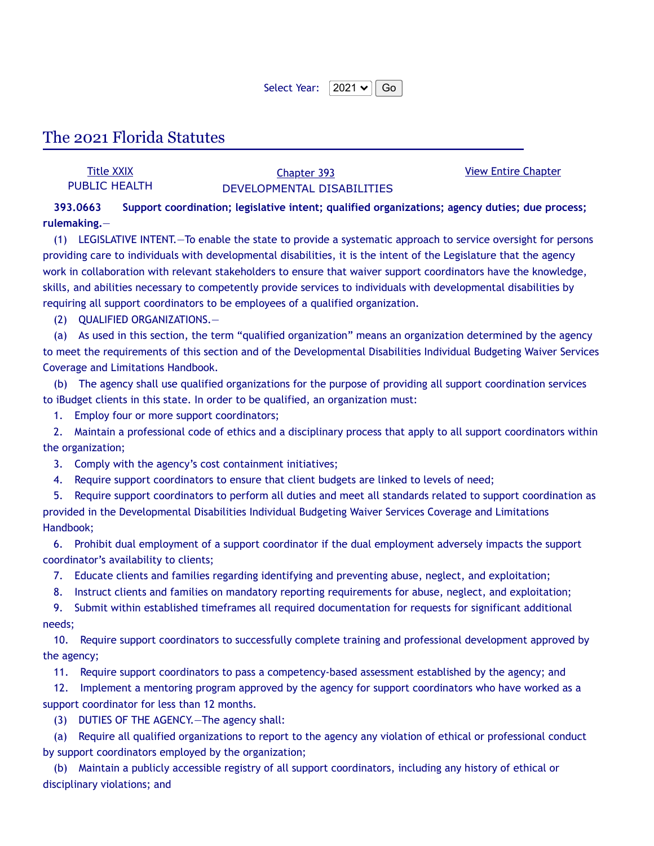| Select Year: $ 2021 \times   $ Go |  |  |
|-----------------------------------|--|--|
|-----------------------------------|--|--|

View Entire [Chapter](http://www.leg.state.fl.us/Statutes/index.cfm?App_mode=Display_Statute&URL=0300-0399/0393/0393.html)

## The 2021 Florida Statutes

## [Title](http://www.leg.state.fl.us/Statutes/index.cfm?App_mode=Display_Index&Title_Request=XXIX#TitleXXIX) XXIX PUBLIC HEALTH [Chapter](http://www.leg.state.fl.us/Statutes/index.cfm?App_mode=Display_Statute&URL=0300-0399/0393/0393ContentsIndex.html) 393 DEVELOPMENTAL DISABILITIES

**393.0663 Support coordination; legislative intent; qualified organizations; agency duties; due process; rulemaking.**—

(1) LEGISLATIVE INTENT.—To enable the state to provide a systematic approach to service oversight for persons providing care to individuals with developmental disabilities, it is the intent of the Legislature that the agency work in collaboration with relevant stakeholders to ensure that waiver support coordinators have the knowledge, skills, and abilities necessary to competently provide services to individuals with developmental disabilities by requiring all support coordinators to be employees of a qualified organization.

(2) QUALIFIED ORGANIZATIONS.—

(a) As used in this section, the term "qualified organization" means an organization determined by the agency to meet the requirements of this section and of the Developmental Disabilities Individual Budgeting Waiver Services Coverage and Limitations Handbook.

(b) The agency shall use qualified organizations for the purpose of providing all support coordination services to iBudget clients in this state. In order to be qualified, an organization must:

1. Employ four or more support coordinators;

2. Maintain a professional code of ethics and a disciplinary process that apply to all support coordinators within the organization;

3. Comply with the agency's cost containment initiatives;

4. Require support coordinators to ensure that client budgets are linked to levels of need;

5. Require support coordinators to perform all duties and meet all standards related to support coordination as provided in the Developmental Disabilities Individual Budgeting Waiver Services Coverage and Limitations Handbook;

6. Prohibit dual employment of a support coordinator if the dual employment adversely impacts the support coordinator's availability to clients;

7. Educate clients and families regarding identifying and preventing abuse, neglect, and exploitation;

8. Instruct clients and families on mandatory reporting requirements for abuse, neglect, and exploitation;

9. Submit within established timeframes all required documentation for requests for significant additional needs;

10. Require support coordinators to successfully complete training and professional development approved by the agency;

11. Require support coordinators to pass a competency-based assessment established by the agency; and

12. Implement a mentoring program approved by the agency for support coordinators who have worked as a support coordinator for less than 12 months.

(3) DUTIES OF THE AGENCY.—The agency shall:

(a) Require all qualified organizations to report to the agency any violation of ethical or professional conduct by support coordinators employed by the organization;

(b) Maintain a publicly accessible registry of all support coordinators, including any history of ethical or disciplinary violations; and